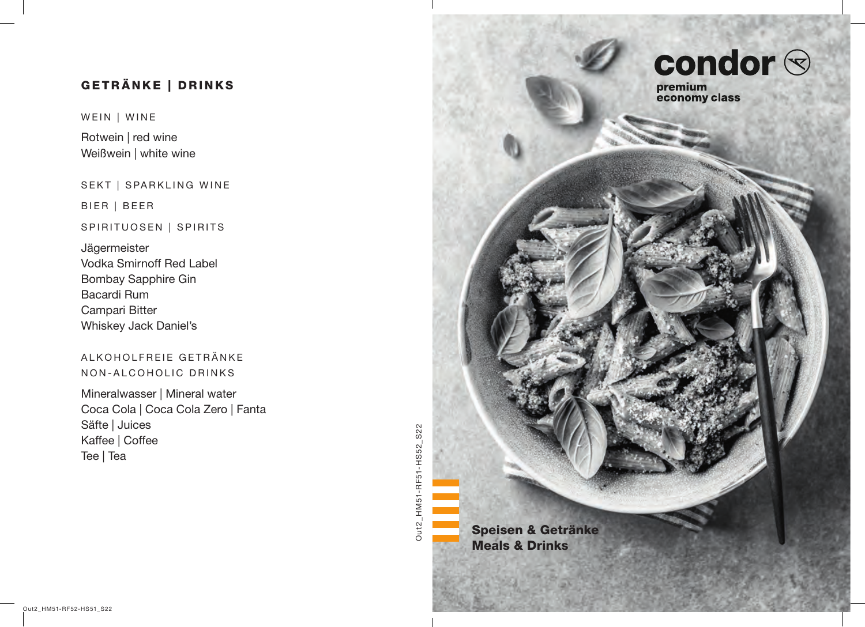# GETRÄNKE | DRINKS

WEIN | WINE

Rotwein | red wine Weißwein | white wine

SEKT | SPARKLING WINE

BIER | BEER

### SPIRITUOSEN | SPIRITS

Jägermeister Vodka Smirnoff Red Label Bombay Sapphire Gin Bacardi Rum Campari Bitter Whiskey Jack Daniel's

# ALKOHOLFREIE GETRÄNKE NON-ALCOHOLIC DRINKS

Mineralwasser | Mineral water Coca Cola | Coca Cola Zero | Fanta Säfte | Juices Kaffee | Coffee Tee | Tea

Out2\_HM51-RF51-HS52\_S22 Out2\_HM51-RF51-HS52\_S22